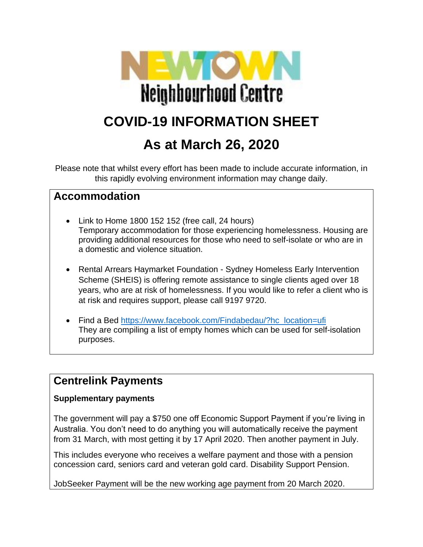

# **As at March 26, 2020**

Please note that whilst every effort has been made to include accurate information, in this rapidly evolving environment information may change daily.

### **Accommodation**

- Link to Home 1800 152 152 (free call, 24 hours) Temporary accommodation for those experiencing homelessness. Housing are providing additional resources for those who need to self-isolate or who are in a domestic and violence situation.
- Rental Arrears Haymarket Foundation Sydney Homeless Early Intervention Scheme (SHEIS) is offering remote assistance to single clients aged over 18 years, who are at risk of homelessness. If you would like to refer a client who is at risk and requires support, please call 9197 9720.
- Find a Bed [https://www.facebook.com/Findabedau/?hc\\_location=ufi](about:blank) They are compiling a list of empty homes which can be used for self-isolation purposes.

### **Centrelink Payments**

#### **Supplementary payments**

The government will pay a \$750 one off Economic Support Payment if you're living in Australia. You don't need to do anything you will automatically receive the payment from 31 March, with most getting it by 17 April 2020. Then another payment in July.

This includes everyone who receives a welfare payment and those with a pension concession card, seniors card and veteran gold card. Disability Support Pension.

JobSeeker Payment will be the new working age payment from 20 March 2020.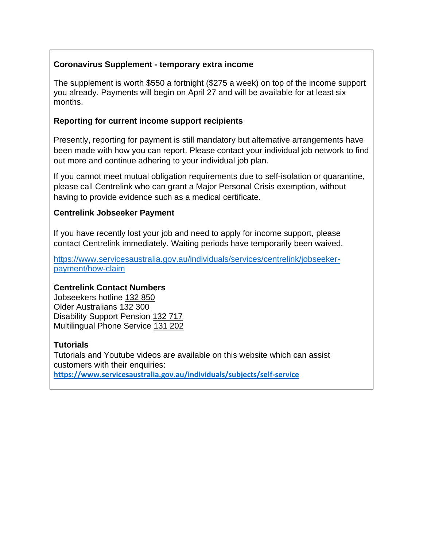#### **Coronavirus Supplement - temporary extra income**

The supplement is worth \$550 a fortnight (\$275 a week) on top of the income support you already. Payments will begin on April 27 and will be available for at least six months.

#### **Reporting for current income support recipients**

Presently, reporting for payment is still mandatory but alternative arrangements have been made with how you can report. Please contact your individual job network to find out more and continue adhering to your individual job plan.

If you cannot meet mutual obligation requirements due to self-isolation or quarantine, please call Centrelink who can grant a Major Personal Crisis exemption, without having to provide evidence such as a medical certificate.

#### **Centrelink Jobseeker Payment**

If you have recently lost your job and need to apply for income support, please contact Centrelink immediately. Waiting periods have temporarily been waived.

[https://www.servicesaustralia.gov.au/individuals/services/centrelink/jobseeker](about:blank)[payment/how-claim](about:blank)

#### **Centrelink Contact Numbers**

Jobseekers hotline [132 850](about:blank) Older Australians [132 300](about:blank) Disability Support Pension [132 717](about:blank) Multilingual Phone Service [131 202](about:blank)

#### **Tutorials**

Tutorials and Youtube videos are available on this website which can assist customers with their enquiries: **[https://www.servicesaustralia.gov.au/individuals/subjects/self-service](about:blank)**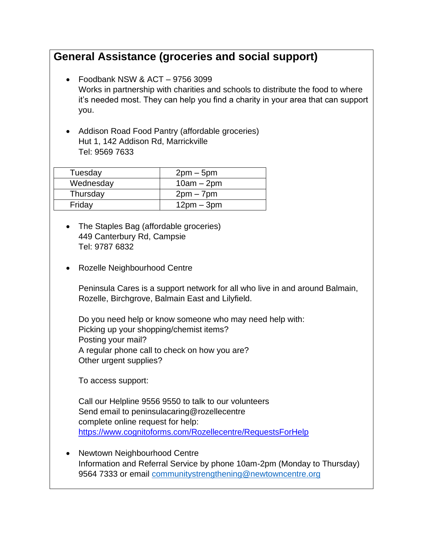# **General Assistance (groceries and social support)**

- Foodbank NSW & ACT 9756 3099 Works in partnership with charities and schools to distribute the food to where it's needed most. They can help you find a charity in your area that can support you.
- Addison Road Food Pantry (affordable groceries) Hut 1, 142 Addison Rd, Marrickville Tel: 9569 7633

| Tuesday   | $2pm-5pm$    |
|-----------|--------------|
| Wednesday | $10am - 2pm$ |
| Thursday  | $2pm - 7pm$  |
| Friday    | $12pm - 3pm$ |

- The Staples Bag (affordable groceries) 449 Canterbury Rd, Campsie Tel: 9787 6832
- Rozelle Neighbourhood Centre

Peninsula Cares is a support network for all who live in and around Balmain, Rozelle, Birchgrove, Balmain East and Lilyfield.

Do you need help or know someone who may need help with: Picking up your shopping/chemist items? Posting your mail? A regular phone call to check on how you are? Other urgent supplies?

To access support:

Call our Helpline 9556 9550 to talk to our volunteers Send email to peninsulacaring@rozellecentre complete online request for help: [https://www.cognitoforms.com/Rozellecentre/RequestsForHelp](about:blank)

• Newtown Neighbourhood Centre Information and Referral Service by phone 10am-2pm (Monday to Thursday) 9564 7333 or email [communitystrengthening@newtowncentre.org](about:blank)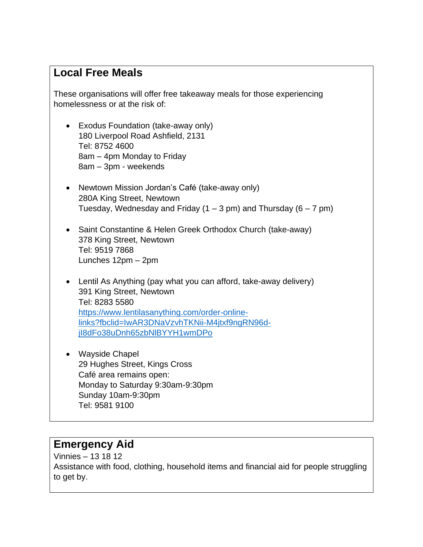### **Local Free Meals**

These organisations will offer free takeaway meals for those experiencing homelessness or at the risk of:

- Exodus Foundation (take-away only) 180 Liverpool Road Ashfield, 2131 Tel: 8752 4600 8am – 4pm Monday to Friday 8am – 3pm - weekends
- Newtown Mission Jordan's Café (take-away only) 280A King Street, Newtown Tuesday, Wednesday and Friday  $(1 – 3 pm)$  and Thursday  $(6 – 7 pm)$
- Saint Constantine & Helen Greek Orthodox Church (take-away) 378 King Street, Newtown Tel: 9519 7868 Lunches 12pm – 2pm
- Lentil As Anything (pay what you can afford, take-away delivery) 391 King Street, Newtown Tel: [8283 5580](about:blank) [https://www.lentilasanything.com/order-online](about:blank)[links?fbclid=IwAR3DNaVzvhTKNii-M4jtxf9ngRN96d](about:blank)[jI8dFo38uDnh65zbNlBYYH1wmDPo](about:blank)
- Wayside Chapel 29 Hughes Street, Kings Cross Café area remains open: Monday to Saturday 9:30am-9:30pm Sunday 10am-9:30pm Tel: 9581 9100

### **Emergency Aid**

Vinnies – 13 18 12 Assistance with food, clothing, household items and financial aid for people struggling to get by.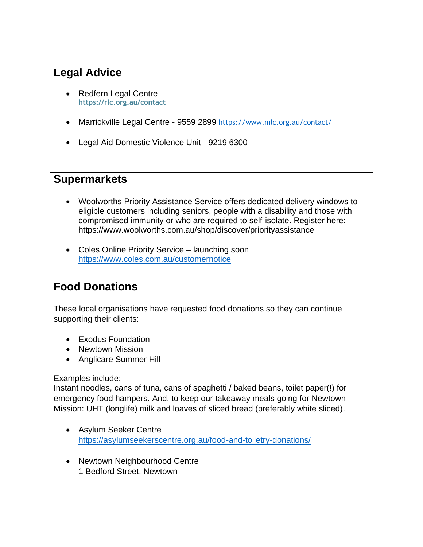# **Legal Advice**

- Redfern Legal Centre **[https://rlc.org.au/contact](about:blank)**
- Marrickville Legal Centre 9559 2899 [https://www.mlc.org.au/contact/](about:blank)
- Legal Aid Domestic Violence Unit 9219 6300

### **Supermarkets**

- Woolworths Priority Assistance Service offers dedicated delivery windows to eligible customers including seniors, people with a disability and those with compromised immunity or who are required to self-isolate. Register here: [https://www.woolworths.com.au/shop/discover/priorityassistance](about:blank)
- Coles Online Priority Service launching soon [https://www.coles.com.au/customernotice](about:blank)

### **Food Donations**

These local organisations have requested food donations so they can continue supporting their clients:

- Exodus Foundation
- Newtown Mission
- Anglicare Summer Hill

Examples include:

Instant noodles, cans of tuna, cans of spaghetti / baked beans, toilet paper(!) for emergency food hampers. And, to keep our takeaway meals going for Newtown Mission: UHT (longlife) milk and loaves of sliced bread (preferably white sliced).

- Asylum Seeker Centre [https://asylumseekerscentre.org.au/food-and-toiletry-donations/](about:blank)
- Newtown Neighbourhood Centre 1 Bedford Street, Newtown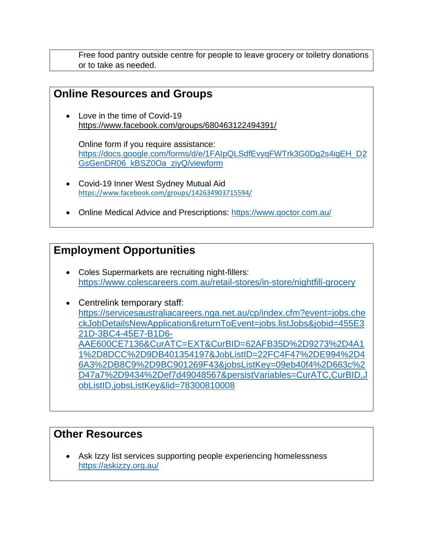Free food pantry outside centre for people to leave grocery or toiletry donations or to take as needed.

### **Online Resources and Groups**

• Love in the time of Covid-19 [https://www.facebook.com/groups/680463122494391/](about:blank)

Online form if you require assistance: [https://docs.google.com/forms/d/e/1FAIpQLSdfEvyqFWTrk3G0Dg2s4igEH\\_D2](about:blank) [GsGenDR06\\_kBSZ0Oa\\_ziyQ/viewform](about:blank)

- Covid-19 Inner West Sydney Mutual Aid [https://www.facebook.com/groups/142634903715594/](about:blank)
- Online Medical Advice and Prescriptions: https://www.goctor.com.au/

# **Employment Opportunities**

• Coles Supermarkets are recruiting night-fillers: [https://www.colescareers.com.au/retail-stores/in-store/nightfill-grocery](about:blank) 

• Centrelink temporary staff: [https://servicesaustraliacareers.nga.net.au/cp/index.cfm?event=jobs.che](about:blank) [ckJobDetailsNewApplication&returnToEvent=jobs.listJobs&jobid=455E3](about:blank) [21D-3BC4-45E7-B1D6-](about:blank) [AAE600CE7136&CurATC=EXT&CurBID=62AFB35D%2D9273%2D4A1](about:blank) [1%2D8DCC%2D9DB401354197&JobListID=22FC4F47%2DE994%2D4](about:blank) [6A3%2DB8C9%2D9BC901269F43&jobsListKey=09eb40f4%2D663c%2](about:blank) [D47a7%2D9434%2Def7d49048567&persistVariables=CurATC,CurBID,J](about:blank) [obListID,jobsListKey&lid=78300810008](about:blank)

### **Other Resources**

Ask Izzy list services supporting people experiencing homelessness [https://askizzy.org.au/](about:blank)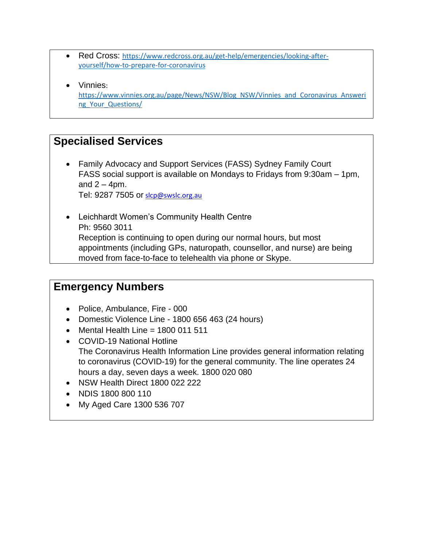- Red Cross: [https://www.redcross.org.au/get-help/emergencies/looking-after](about:blank)[yourself/how-to-prepare-for-coronavirus](about:blank)
- Vinnies: [https://www.vinnies.org.au/page/News/NSW/Blog\\_NSW/Vinnies\\_and\\_Coronavirus\\_Answeri](about:blank) ng Your Questions/

## **Specialised Services**

• Family Advocacy and Support Services (FASS) Sydney Family Court FASS social support is available on Mondays to Fridays from 9:30am – 1pm, and  $2 - 4$ pm.

Tel: 9287 7505 or [slcp@swslc.org.au](about:blank)

• Leichhardt Women's Community Health Centre Ph: 9560 3011 Reception is continuing to open during our normal hours, but most appointments (including GPs, naturopath, counsellor, and nurse) are being moved from face-to-face to telehealth via phone or Skype.

### **Emergency Numbers**

- Police, Ambulance, Fire 000
- Domestic Violence Line 1800 656 463 (24 hours)
- Mental Health Line  $= 1800011511$
- COVID-19 National Hotline The Coronavirus Health Information Line provides general information relating to coronavirus (COVID-19) for the general community. The line operates 24 hours a day, seven days a week. 1800 020 080
- NSW Health Direct 1800 022 222
- NDIS 1800 800 110
- My Aged Care [1300 536 707](about:blank)